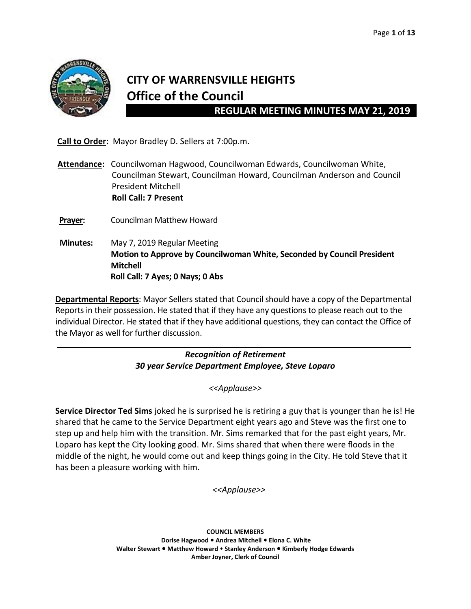

l,

# **CITY OF WARRENSVILLE HEIGHTS Office of the Council**

 **REGULAR MEETING MINUTES MAY 21, 2019**

 **Call to Order:** Mayor Bradley D. Sellers at 7:00p.m.

**Attendance:** Councilwoman Hagwood, Councilwoman Edwards, Councilwoman White, Councilman Stewart, Councilman Howard, Councilman Anderson and Council President Mitchell  **Roll Call: 7 Present**

**Prayer:** Councilman Matthew Howard

 **Minutes:** May 7, 2019 Regular Meeting  **Motion to Approve by Councilwoman White, Seconded by Council President Mitchell Roll Call: 7 Ayes; 0 Nays; 0 Abs**

**Departmental Reports**: Mayor Sellers stated that Council should have a copy of the Departmental Reports in their possession. He stated that if they have any questions to please reach out to the individual Director. He stated that if they have additional questions, they can contact the Office of the Mayor as well for further discussion.

> *Recognition of Retirement 30 year Service Department Employee, Steve Loparo*

> > *<<Applause>>*

**Service Director Ted Sims** joked he is surprised he is retiring a guy that is younger than he is! He shared that he came to the Service Department eight years ago and Steve was the first one to step up and help him with the transition. Mr. Sims remarked that for the past eight years, Mr. Loparo has kept the City looking good. Mr. Sims shared that when there were floods in the middle of the night, he would come out and keep things going in the City. He told Steve that it has been a pleasure working with him.

 *<<Applause>>*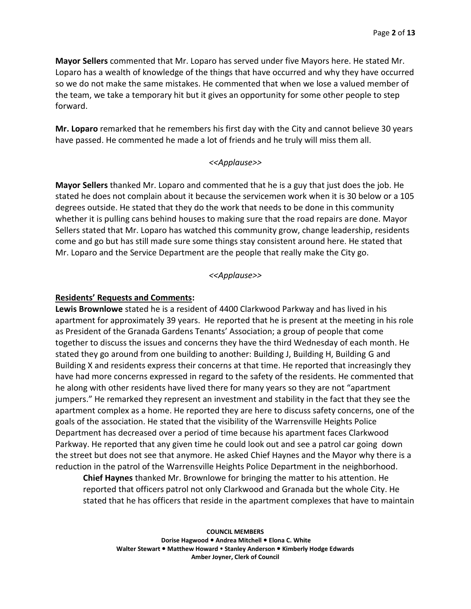**Mayor Sellers** commented that Mr. Loparo has served under five Mayors here. He stated Mr. Loparo has a wealth of knowledge of the things that have occurred and why they have occurred so we do not make the same mistakes. He commented that when we lose a valued member of the team, we take a temporary hit but it gives an opportunity for some other people to step forward.

**Mr. Loparo** remarked that he remembers his first day with the City and cannot believe 30 years have passed. He commented he made a lot of friends and he truly will miss them all.

#### *<<Applause>>*

**Mayor Sellers** thanked Mr. Loparo and commented that he is a guy that just does the job. He stated he does not complain about it because the servicemen work when it is 30 below or a 105 degrees outside. He stated that they do the work that needs to be done in this community whether it is pulling cans behind houses to making sure that the road repairs are done. Mayor Sellers stated that Mr. Loparo has watched this community grow, change leadership, residents come and go but has still made sure some things stay consistent around here. He stated that Mr. Loparo and the Service Department are the people that really make the City go.

#### *<<Applause>>*

#### **Residents' Requests and Comments:**

**Lewis Brownlowe** stated he is a resident of 4400 Clarkwood Parkway and has lived in his apartment for approximately 39 years. He reported that he is present at the meeting in his role as President of the Granada Gardens Tenants' Association; a group of people that come together to discuss the issues and concerns they have the third Wednesday of each month. He stated they go around from one building to another: Building J, Building H, Building G and Building X and residents express their concerns at that time. He reported that increasingly they have had more concerns expressed in regard to the safety of the residents. He commented that he along with other residents have lived there for many years so they are not "apartment jumpers." He remarked they represent an investment and stability in the fact that they see the apartment complex as a home. He reported they are here to discuss safety concerns, one of the goals of the association. He stated that the visibility of the Warrensville Heights Police Department has decreased over a period of time because his apartment faces Clarkwood Parkway. He reported that any given time he could look out and see a patrol car going down the street but does not see that anymore. He asked Chief Haynes and the Mayor why there is a reduction in the patrol of the Warrensville Heights Police Department in the neighborhood.

**Chief Haynes** thanked Mr. Brownlowe for bringing the matter to his attention. He reported that officers patrol not only Clarkwood and Granada but the whole City. He stated that he has officers that reside in the apartment complexes that have to maintain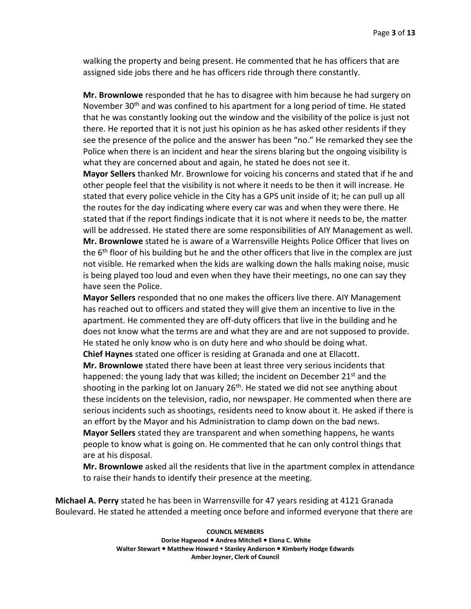walking the property and being present. He commented that he has officers that are assigned side jobs there and he has officers ride through there constantly.

**Mr. Brownlowe** responded that he has to disagree with him because he had surgery on November 30<sup>th</sup> and was confined to his apartment for a long period of time. He stated that he was constantly looking out the window and the visibility of the police is just not there. He reported that it is not just his opinion as he has asked other residents if they see the presence of the police and the answer has been "no." He remarked they see the Police when there is an incident and hear the sirens blaring but the ongoing visibility is what they are concerned about and again, he stated he does not see it.

**Mayor Sellers** thanked Mr. Brownlowe for voicing his concerns and stated that if he and other people feel that the visibility is not where it needs to be then it will increase. He stated that every police vehicle in the City has a GPS unit inside of it; he can pull up all the routes for the day indicating where every car was and when they were there. He stated that if the report findings indicate that it is not where it needs to be, the matter will be addressed. He stated there are some responsibilities of AIY Management as well. **Mr. Brownlowe** stated he is aware of a Warrensville Heights Police Officer that lives on the  $6<sup>th</sup>$  floor of his building but he and the other officers that live in the complex are just not visible. He remarked when the kids are walking down the halls making noise, music is being played too loud and even when they have their meetings, no one can say they have seen the Police.

**Mayor Sellers** responded that no one makes the officers live there. AIY Management has reached out to officers and stated they will give them an incentive to live in the apartment. He commented they are off-duty officers that live in the building and he does not know what the terms are and what they are and are not supposed to provide. He stated he only know who is on duty here and who should be doing what. **Chief Haynes** stated one officer is residing at Granada and one at Ellacott.

**Mr. Brownlowe** stated there have been at least three very serious incidents that happened: the young lady that was killed; the incident on December 21<sup>st</sup> and the shooting in the parking lot on January  $26<sup>th</sup>$ . He stated we did not see anything about these incidents on the television, radio, nor newspaper. He commented when there are serious incidents such as shootings, residents need to know about it. He asked if there is an effort by the Mayor and his Administration to clamp down on the bad news. **Mayor Sellers** stated they are transparent and when something happens, he wants

people to know what is going on. He commented that he can only control things that are at his disposal.

**Mr. Brownlowe** asked all the residents that live in the apartment complex in attendance to raise their hands to identify their presence at the meeting.

**Michael A. Perry** stated he has been in Warrensville for 47 years residing at 4121 Granada Boulevard. He stated he attended a meeting once before and informed everyone that there are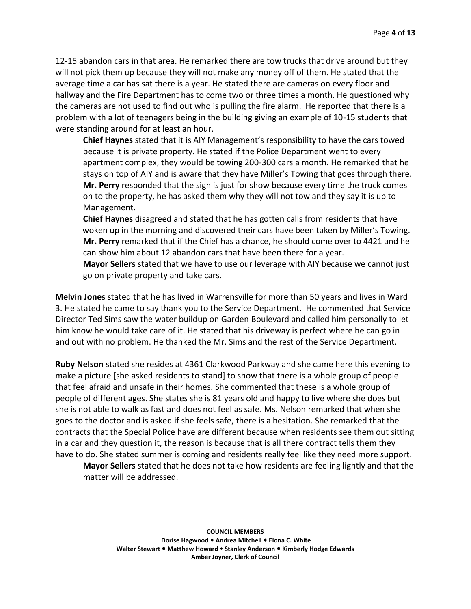12-15 abandon cars in that area. He remarked there are tow trucks that drive around but they will not pick them up because they will not make any money off of them. He stated that the average time a car has sat there is a year. He stated there are cameras on every floor and hallway and the Fire Department has to come two or three times a month. He questioned why the cameras are not used to find out who is pulling the fire alarm. He reported that there is a problem with a lot of teenagers being in the building giving an example of 10-15 students that were standing around for at least an hour.

**Chief Haynes** stated that it is AIY Management's responsibility to have the cars towed because it is private property. He stated if the Police Department went to every apartment complex, they would be towing 200-300 cars a month. He remarked that he stays on top of AIY and is aware that they have Miller's Towing that goes through there. **Mr. Perry** responded that the sign is just for show because every time the truck comes on to the property, he has asked them why they will not tow and they say it is up to Management.

**Chief Haynes** disagreed and stated that he has gotten calls from residents that have woken up in the morning and discovered their cars have been taken by Miller's Towing. **Mr. Perry** remarked that if the Chief has a chance, he should come over to 4421 and he can show him about 12 abandon cars that have been there for a year.

**Mayor Sellers** stated that we have to use our leverage with AIY because we cannot just go on private property and take cars.

**Melvin Jones** stated that he has lived in Warrensville for more than 50 years and lives in Ward 3. He stated he came to say thank you to the Service Department. He commented that Service Director Ted Sims saw the water buildup on Garden Boulevard and called him personally to let him know he would take care of it. He stated that his driveway is perfect where he can go in and out with no problem. He thanked the Mr. Sims and the rest of the Service Department.

**Ruby Nelson** stated she resides at 4361 Clarkwood Parkway and she came here this evening to make a picture [she asked residents to stand] to show that there is a whole group of people that feel afraid and unsafe in their homes. She commented that these is a whole group of people of different ages. She states she is 81 years old and happy to live where she does but she is not able to walk as fast and does not feel as safe. Ms. Nelson remarked that when she goes to the doctor and is asked if she feels safe, there is a hesitation. She remarked that the contracts that the Special Police have are different because when residents see them out sitting in a car and they question it, the reason is because that is all there contract tells them they have to do. She stated summer is coming and residents really feel like they need more support.

**Mayor Sellers** stated that he does not take how residents are feeling lightly and that the matter will be addressed.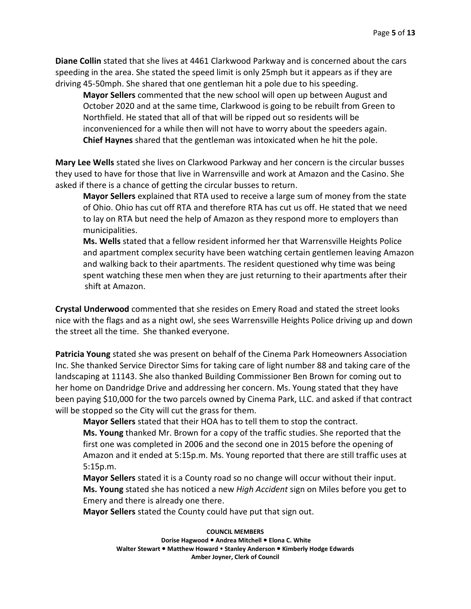**Diane Collin** stated that she lives at 4461 Clarkwood Parkway and is concerned about the cars speeding in the area. She stated the speed limit is only 25mph but it appears as if they are driving 45-50mph. She shared that one gentleman hit a pole due to his speeding.

**Mayor Sellers** commented that the new school will open up between August and October 2020 and at the same time, Clarkwood is going to be rebuilt from Green to Northfield. He stated that all of that will be ripped out so residents will be inconvenienced for a while then will not have to worry about the speeders again. **Chief Haynes** shared that the gentleman was intoxicated when he hit the pole.

**Mary Lee Wells** stated she lives on Clarkwood Parkway and her concern is the circular busses they used to have for those that live in Warrensville and work at Amazon and the Casino. She asked if there is a chance of getting the circular busses to return.

**Mayor Sellers** explained that RTA used to receive a large sum of money from the state of Ohio. Ohio has cut off RTA and therefore RTA has cut us off. He stated that we need to lay on RTA but need the help of Amazon as they respond more to employers than municipalities.

**Ms. Wells** stated that a fellow resident informed her that Warrensville Heights Police and apartment complex security have been watching certain gentlemen leaving Amazon and walking back to their apartments. The resident questioned why time was being spent watching these men when they are just returning to their apartments after their shift at Amazon.

**Crystal Underwood** commented that she resides on Emery Road and stated the street looks nice with the flags and as a night owl, she sees Warrensville Heights Police driving up and down the street all the time. She thanked everyone.

**Patricia Young** stated she was present on behalf of the Cinema Park Homeowners Association Inc. She thanked Service Director Sims for taking care of light number 88 and taking care of the landscaping at 11143. She also thanked Building Commissioner Ben Brown for coming out to her home on Dandridge Drive and addressing her concern. Ms. Young stated that they have been paying \$10,000 for the two parcels owned by Cinema Park, LLC. and asked if that contract will be stopped so the City will cut the grass for them.

**Mayor Sellers** stated that their HOA has to tell them to stop the contract.

**Ms. Young** thanked Mr. Brown for a copy of the traffic studies. She reported that the first one was completed in 2006 and the second one in 2015 before the opening of Amazon and it ended at 5:15p.m. Ms. Young reported that there are still traffic uses at 5:15p.m.

**Mayor Sellers** stated it is a County road so no change will occur without their input. **Ms. Young** stated she has noticed a new *High Accident* sign on Miles before you get to Emery and there is already one there.

**Mayor Sellers** stated the County could have put that sign out.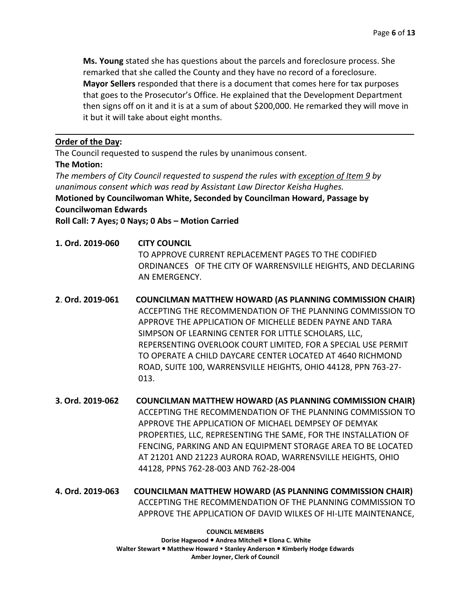**Ms. Young** stated she has questions about the parcels and foreclosure process. She remarked that she called the County and they have no record of a foreclosure. **Mayor Sellers** responded that there is a document that comes here for tax purposes that goes to the Prosecutor's Office. He explained that the Development Department then signs off on it and it is at a sum of about \$200,000. He remarked they will move in it but it will take about eight months.

# **Order of the Day:**

The Council requested to suspend the rules by unanimous consent.

# **The Motion:**

*The members of City Council requested to suspend the rules with exception of Item 9 by unanimous consent which was read by Assistant Law Director Keisha Hughes.* **Motioned by Councilwoman White, Seconded by Councilman Howard, Passage by Councilwoman Edwards**

**Roll Call: 7 Ayes; 0 Nays; 0 Abs – Motion Carried**

- **1. Ord. 2019-060 CITY COUNCIL** TO APPROVE CURRENT REPLACEMENT PAGES TO THE CODIFIED ORDINANCES OF THE CITY OF WARRENSVILLE HEIGHTS, AND DECLARING AN EMERGENCY.
- **2**. **Ord. 2019-061 COUNCILMAN MATTHEW HOWARD (AS PLANNING COMMISSION CHAIR)** ACCEPTING THE RECOMMENDATION OF THE PLANNING COMMISSION TO APPROVE THE APPLICATION OF MICHELLE BEDEN PAYNE AND TARA SIMPSON OF LEARNING CENTER FOR LITTLE SCHOLARS, LLC, REPERSENTING OVERLOOK COURT LIMITED, FOR A SPECIAL USE PERMIT TO OPERATE A CHILD DAYCARE CENTER LOCATED AT 4640 RICHMOND ROAD, SUITE 100, WARRENSVILLE HEIGHTS, OHIO 44128, PPN 763-27- 013.
- **3. Ord. 2019-062 COUNCILMAN MATTHEW HOWARD (AS PLANNING COMMISSION CHAIR)** ACCEPTING THE RECOMMENDATION OF THE PLANNING COMMISSION TO APPROVE THE APPLICATION OF MICHAEL DEMPSEY OF DEMYAK PROPERTIES, LLC, REPRESENTING THE SAME, FOR THE INSTALLATION OF FENCING, PARKING AND AN EQUIPMENT STORAGE AREA TO BE LOCATED AT 21201 AND 21223 AURORA ROAD, WARRENSVILLE HEIGHTS, OHIO 44128, PPNS 762-28-003 AND 762-28-004
- **4. Ord. 2019-063 COUNCILMAN MATTHEW HOWARD (AS PLANNING COMMISSION CHAIR)** ACCEPTING THE RECOMMENDATION OF THE PLANNING COMMISSION TO APPROVE THE APPLICATION OF DAVID WILKES OF HI-LITE MAINTENANCE,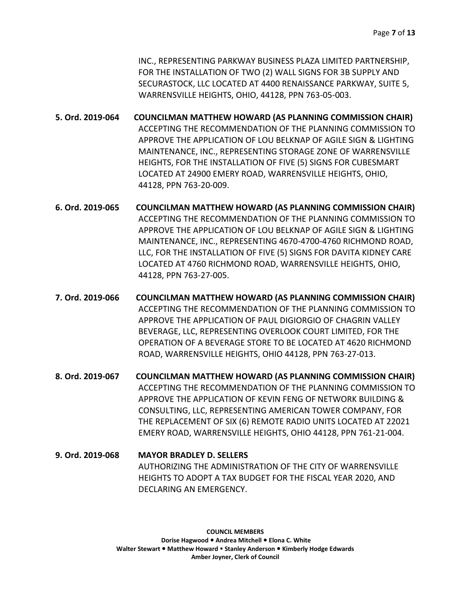INC., REPRESENTING PARKWAY BUSINESS PLAZA LIMITED PARTNERSHIP, FOR THE INSTALLATION OF TWO (2) WALL SIGNS FOR 3B SUPPLY AND SECURASTOCK, LLC LOCATED AT 4400 RENAISSANCE PARKWAY, SUITE 5, WARRENSVILLE HEIGHTS, OHIO, 44128, PPN 763-05-003.

**5. Ord. 2019-064 COUNCILMAN MATTHEW HOWARD (AS PLANNING COMMISSION CHAIR)** ACCEPTING THE RECOMMENDATION OF THE PLANNING COMMISSION TO APPROVE THE APPLICATION OF LOU BELKNAP OF AGILE SIGN & LIGHTING MAINTENANCE, INC., REPRESENTING STORAGE ZONE OF WARRENSVILLE HEIGHTS, FOR THE INSTALLATION OF FIVE (5) SIGNS FOR CUBESMART LOCATED AT 24900 EMERY ROAD, WARRENSVILLE HEIGHTS, OHIO, 44128, PPN 763-20-009.

- **6. Ord. 2019-065 COUNCILMAN MATTHEW HOWARD (AS PLANNING COMMISSION CHAIR)** ACCEPTING THE RECOMMENDATION OF THE PLANNING COMMISSION TO APPROVE THE APPLICATION OF LOU BELKNAP OF AGILE SIGN & LIGHTING MAINTENANCE, INC., REPRESENTING 4670-4700-4760 RICHMOND ROAD, LLC, FOR THE INSTALLATION OF FIVE (5) SIGNS FOR DAVITA KIDNEY CARE LOCATED AT 4760 RICHMOND ROAD, WARRENSVILLE HEIGHTS, OHIO, 44128, PPN 763-27-005.
- **7. Ord. 2019-066 COUNCILMAN MATTHEW HOWARD (AS PLANNING COMMISSION CHAIR)** ACCEPTING THE RECOMMENDATION OF THE PLANNING COMMISSION TO APPROVE THE APPLICATION OF PAUL DIGIORGIO OF CHAGRIN VALLEY BEVERAGE, LLC, REPRESENTING OVERLOOK COURT LIMITED, FOR THE OPERATION OF A BEVERAGE STORE TO BE LOCATED AT 4620 RICHMOND ROAD, WARRENSVILLE HEIGHTS, OHIO 44128, PPN 763-27-013.
- **8. Ord. 2019-067 COUNCILMAN MATTHEW HOWARD (AS PLANNING COMMISSION CHAIR)** ACCEPTING THE RECOMMENDATION OF THE PLANNING COMMISSION TO APPROVE THE APPLICATION OF KEVIN FENG OF NETWORK BUILDING & CONSULTING, LLC, REPRESENTING AMERICAN TOWER COMPANY, FOR THE REPLACEMENT OF SIX (6) REMOTE RADIO UNITS LOCATED AT 22021 EMERY ROAD, WARRENSVILLE HEIGHTS, OHIO 44128, PPN 761-21-004.
- **9. Ord. 2019-068 MAYOR BRADLEY D. SELLERS** AUTHORIZING THE ADMINISTRATION OF THE CITY OF WARRENSVILLE HEIGHTS TO ADOPT A TAX BUDGET FOR THE FISCAL YEAR 2020, AND DECLARING AN EMERGENCY.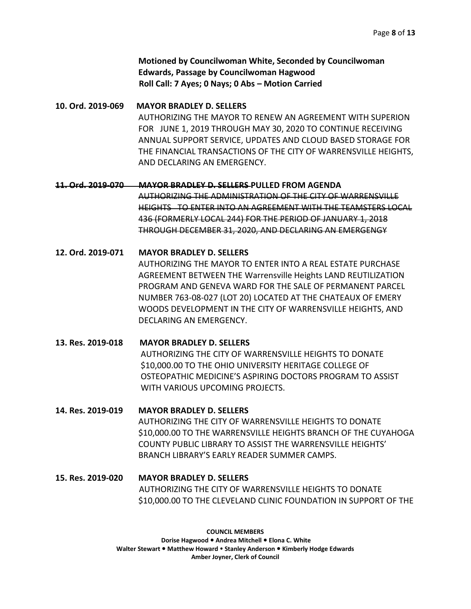**Motioned by Councilwoman White, Seconded by Councilwoman Edwards, Passage by Councilwoman Hagwood Roll Call: 7 Ayes; 0 Nays; 0 Abs – Motion Carried**

**10. Ord. 2019-069 MAYOR BRADLEY D. SELLERS**  AUTHORIZING THE MAYOR TO RENEW AN AGREEMENT WITH SUPERION FOR JUNE 1, 2019 THROUGH MAY 30, 2020 TO CONTINUE RECEIVING ANNUAL SUPPORT SERVICE, UPDATES AND CLOUD BASED STORAGE FOR THE FINANCIAL TRANSACTIONS OF THE CITY OF WARRENSVILLE HEIGHTS, AND DECLARING AN EMERGENCY.

**11. Ord. 2019-070 MAYOR BRADLEY D. SELLERS PULLED FROM AGENDA** AUTHORIZING THE ADMINISTRATION OF THE CITY OF WARRENSVILLE HEIGHTS TO ENTER INTO AN AGREEMENT WITH THE TEAMSTERS LOCAL 436 (FORMERLY LOCAL 244) FOR THE PERIOD OF JANUARY 1, 2018 THROUGH DECEMBER 31, 2020, AND DECLARING AN EMERGENGY

- **12. Ord. 2019-071 MAYOR BRADLEY D. SELLERS** AUTHORIZING THE MAYOR TO ENTER INTO A REAL ESTATE PURCHASE AGREEMENT BETWEEN THE Warrensville Heights LAND REUTILIZATION PROGRAM AND GENEVA WARD FOR THE SALE OF PERMANENT PARCEL NUMBER 763-08-027 (LOT 20) LOCATED AT THE CHATEAUX OF EMERY WOODS DEVELOPMENT IN THE CITY OF WARRENSVILLE HEIGHTS, AND DECLARING AN EMERGENCY.
- **13. Res. 2019-018 MAYOR BRADLEY D. SELLERS** AUTHORIZING THE CITY OF WARRENSVILLE HEIGHTS TO DONATE \$10,000.00 TO THE OHIO UNIVERSITY HERITAGE COLLEGE OF OSTEOPATHIC MEDICINE'S ASPIRING DOCTORS PROGRAM TO ASSIST WITH VARIOUS UPCOMING PROJECTS.

**14. Res. 2019-019 MAYOR BRADLEY D. SELLERS** AUTHORIZING THE CITY OF WARRENSVILLE HEIGHTS TO DONATE \$10,000.00 TO THE WARRENSVILLE HEIGHTS BRANCH OF THE CUYAHOGA COUNTY PUBLIC LIBRARY TO ASSIST THE WARRENSVILLE HEIGHTS' BRANCH LIBRARY'S EARLY READER SUMMER CAMPS.

**15. Res. 2019-020 MAYOR BRADLEY D. SELLERS** AUTHORIZING THE CITY OF WARRENSVILLE HEIGHTS TO DONATE \$10,000.00 TO THE CLEVELAND CLINIC FOUNDATION IN SUPPORT OF THE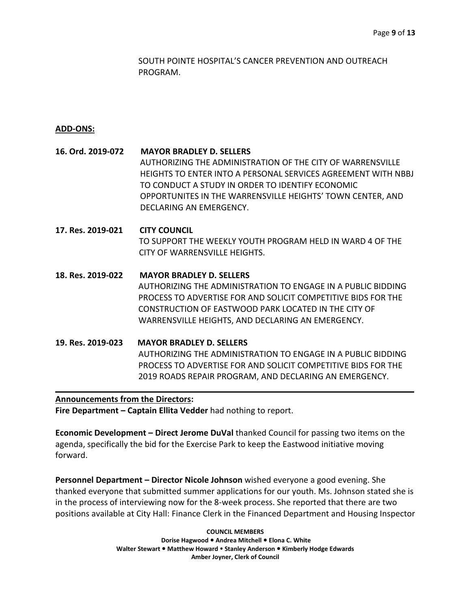SOUTH POINTE HOSPITAL'S CANCER PREVENTION AND OUTREACH PROGRAM.

## **ADD-ONS:**

**16. Ord. 2019-072 MAYOR BRADLEY D. SELLERS** AUTHORIZING THE ADMINISTRATION OF THE CITY OF WARRENSVILLE HEIGHTS TO ENTER INTO A PERSONAL SERVICES AGREEMENT WITH NBBJ TO CONDUCT A STUDY IN ORDER TO IDENTIFY ECONOMIC OPPORTUNITES IN THE WARRENSVILLE HEIGHTS' TOWN CENTER, AND DECLARING AN EMERGENCY.

**17. Res. 2019-021 CITY COUNCIL** TO SUPPORT THE WEEKLY YOUTH PROGRAM HELD IN WARD 4 OF THE CITY OF WARRENSVILLE HEIGHTS.

**18. Res. 2019-022 MAYOR BRADLEY D. SELLERS** AUTHORIZING THE ADMINISTRATION TO ENGAGE IN A PUBLIC BIDDING PROCESS TO ADVERTISE FOR AND SOLICIT COMPETITIVE BIDS FOR THE CONSTRUCTION OF EASTWOOD PARK LOCATED IN THE CITY OF WARRENSVILLE HEIGHTS, AND DECLARING AN EMERGENCY.

**19. Res. 2019-023 MAYOR BRADLEY D. SELLERS** AUTHORIZING THE ADMINISTRATION TO ENGAGE IN A PUBLIC BIDDING PROCESS TO ADVERTISE FOR AND SOLICIT COMPETITIVE BIDS FOR THE 2019 ROADS REPAIR PROGRAM, AND DECLARING AN EMERGENCY.  $\overline{a}$ 

## **Announcements from the Directors:**

**Fire Department – Captain Ellita Vedder** had nothing to report.

**Economic Development – Direct Jerome DuVal** thanked Council for passing two items on the agenda, specifically the bid for the Exercise Park to keep the Eastwood initiative moving forward.

**Personnel Department – Director Nicole Johnson** wished everyone a good evening. She thanked everyone that submitted summer applications for our youth. Ms. Johnson stated she is in the process of interviewing now for the 8-week process. She reported that there are two positions available at City Hall: Finance Clerk in the Financed Department and Housing Inspector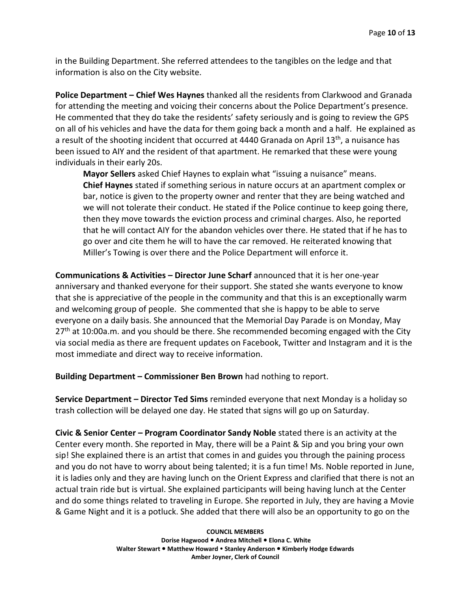in the Building Department. She referred attendees to the tangibles on the ledge and that information is also on the City website.

**Police Department – Chief Wes Haynes** thanked all the residents from Clarkwood and Granada for attending the meeting and voicing their concerns about the Police Department's presence. He commented that they do take the residents' safety seriously and is going to review the GPS on all of his vehicles and have the data for them going back a month and a half. He explained as a result of the shooting incident that occurred at 4440 Granada on April  $13<sup>th</sup>$ , a nuisance has been issued to AIY and the resident of that apartment. He remarked that these were young individuals in their early 20s.

**Mayor Sellers** asked Chief Haynes to explain what "issuing a nuisance" means. **Chief Haynes** stated if something serious in nature occurs at an apartment complex or bar, notice is given to the property owner and renter that they are being watched and we will not tolerate their conduct. He stated if the Police continue to keep going there, then they move towards the eviction process and criminal charges. Also, he reported that he will contact AIY for the abandon vehicles over there. He stated that if he has to go over and cite them he will to have the car removed. He reiterated knowing that Miller's Towing is over there and the Police Department will enforce it.

**Communications & Activities - Director June Scharf announced that it is her one-year** anniversary and thanked everyone for their support. She stated she wants everyone to know that she is appreciative of the people in the community and that this is an exceptionally warm and welcoming group of people. She commented that she is happy to be able to serve everyone on a daily basis. She announced that the Memorial Day Parade is on Monday, May  $27<sup>th</sup>$  at 10:00a.m. and you should be there. She recommended becoming engaged with the City via social media as there are frequent updates on Facebook, Twitter and Instagram and it is the most immediate and direct way to receive information.

**Building Department – Commissioner Ben Brown** had nothing to report.

**Service Department – Director Ted Sims** reminded everyone that next Monday is a holiday so trash collection will be delayed one day. He stated that signs will go up on Saturday.

**Civic & Senior Center – Program Coordinator Sandy Noble** stated there is an activity at the Center every month. She reported in May, there will be a Paint & Sip and you bring your own sip! She explained there is an artist that comes in and guides you through the paining process and you do not have to worry about being talented; it is a fun time! Ms. Noble reported in June, it is ladies only and they are having lunch on the Orient Express and clarified that there is not an actual train ride but is virtual. She explained participants will being having lunch at the Center and do some things related to traveling in Europe. She reported in July, they are having a Movie & Game Night and it is a potluck. She added that there will also be an opportunity to go on the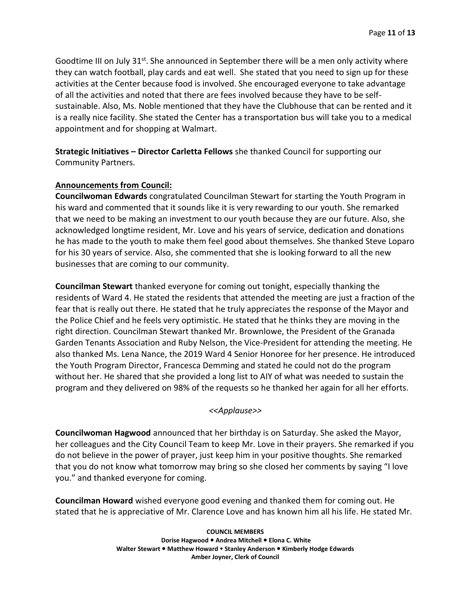Goodtime III on July  $31^{st}$ . She announced in September there will be a men only activity where they can watch football, play cards and eat well. She stated that you need to sign up for these activities at the Center because food is involved. She encouraged everyone to take advantage of all the activities and noted that there are fees involved because they have to be selfsustainable. Also, Ms. Noble mentioned that they have the Clubhouse that can be rented and it is a really nice facility. She stated the Center has a transportation bus will take you to a medical appointment and for shopping at Walmart.

# **Strategic Initiatives – Director Carletta Fellows** she thanked Council for supporting our Community Partners.

## **Announcements from Council:**

**Councilwoman Edwards** congratulated Councilman Stewart for starting the Youth Program in his ward and commented that it sounds like it is very rewarding to our youth. She remarked that we need to be making an investment to our youth because they are our future. Also, she acknowledged longtime resident, Mr. Love and his years of service, dedication and donations he has made to the youth to make them feel good about themselves. She thanked Steve Loparo for his 30 years of service. Also, she commented that she is looking forward to all the new businesses that are coming to our community.

**Councilman Stewart** thanked everyone for coming out tonight, especially thanking the residents of Ward 4. He stated the residents that attended the meeting are just a fraction of the fear that is really out there. He stated that he truly appreciates the response of the Mayor and the Police Chief and he feels very optimistic. He stated that he thinks they are moving in the right direction. Councilman Stewart thanked Mr. Brownlowe, the President of the Granada Garden Tenants Association and Ruby Nelson, the Vice-President for attending the meeting. He also thanked Ms. Lena Nance, the 2019 Ward 4 Senior Honoree for her presence. He introduced the Youth Program Director, Francesca Demming and stated he could not do the program without her. He shared that she provided a long list to AIY of what was needed to sustain the program and they delivered on 98% of the requests so he thanked her again for all her efforts.

## *<<Applause>>*

**Councilwoman Hagwood** announced that her birthday is on Saturday. She asked the Mayor, her colleagues and the City Council Team to keep Mr. Love in their prayers. She remarked if you do not believe in the power of prayer, just keep him in your positive thoughts. She remarked that you do not know what tomorrow may bring so she closed her comments by saying "I love you." and thanked everyone for coming.

**Councilman Howard** wished everyone good evening and thanked them for coming out. He stated that he is appreciative of Mr. Clarence Love and has known him all his life. He stated Mr.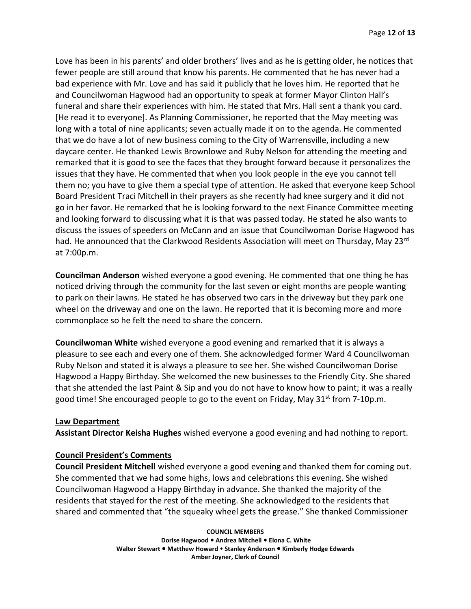Love has been in his parents' and older brothers' lives and as he is getting older, he notices that fewer people are still around that know his parents. He commented that he has never had a bad experience with Mr. Love and has said it publicly that he loves him. He reported that he and Councilwoman Hagwood had an opportunity to speak at former Mayor Clinton Hall's funeral and share their experiences with him. He stated that Mrs. Hall sent a thank you card. [He read it to everyone]. As Planning Commissioner, he reported that the May meeting was long with a total of nine applicants; seven actually made it on to the agenda. He commented that we do have a lot of new business coming to the City of Warrensville, including a new daycare center. He thanked Lewis Brownlowe and Ruby Nelson for attending the meeting and remarked that it is good to see the faces that they brought forward because it personalizes the issues that they have. He commented that when you look people in the eye you cannot tell them no; you have to give them a special type of attention. He asked that everyone keep School Board President Traci Mitchell in their prayers as she recently had knee surgery and it did not go in her favor. He remarked that he is looking forward to the next Finance Committee meeting and looking forward to discussing what it is that was passed today. He stated he also wants to discuss the issues of speeders on McCann and an issue that Councilwoman Dorise Hagwood has had. He announced that the Clarkwood Residents Association will meet on Thursday, May 23rd at 7:00p.m.

**Councilman Anderson** wished everyone a good evening. He commented that one thing he has noticed driving through the community for the last seven or eight months are people wanting to park on their lawns. He stated he has observed two cars in the driveway but they park one wheel on the driveway and one on the lawn. He reported that it is becoming more and more commonplace so he felt the need to share the concern.

**Councilwoman White** wished everyone a good evening and remarked that it is always a pleasure to see each and every one of them. She acknowledged former Ward 4 Councilwoman Ruby Nelson and stated it is always a pleasure to see her. She wished Councilwoman Dorise Hagwood a Happy Birthday. She welcomed the new businesses to the Friendly City. She shared that she attended the last Paint & Sip and you do not have to know how to paint; it was a really good time! She encouraged people to go to the event on Friday, May  $31<sup>st</sup>$  from 7-10p.m.

## **Law Department**

**Assistant Director Keisha Hughes** wished everyone a good evening and had nothing to report.

## **Council President's Comments**

**Council President Mitchell** wished everyone a good evening and thanked them for coming out. She commented that we had some highs, lows and celebrations this evening. She wished Councilwoman Hagwood a Happy Birthday in advance. She thanked the majority of the residents that stayed for the rest of the meeting. She acknowledged to the residents that shared and commented that "the squeaky wheel gets the grease." She thanked Commissioner